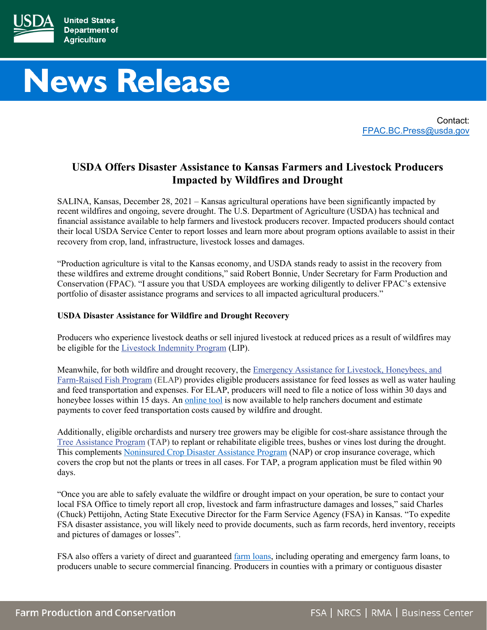

# **News Release**

Contact: [FPAC.BC.Press@usda.gov](mailto:FPAC.BC.Press@usda.gov)

# **USDA Offers Disaster Assistance to Kansas Farmers and Livestock Producers Impacted by Wildfires and Drought**

SALINA, Kansas, December 28, 2021 – Kansas agricultural operations have been significantly impacted by recent wildfires and ongoing, severe drought. The U.S. Department of Agriculture (USDA) has technical and financial assistance available to help farmers and livestock producers recover. Impacted producers should contact their local USDA Service Center to report losses and learn more about program options available to assist in their recovery from crop, land, infrastructure, livestock losses and damages.

"Production agriculture is vital to the Kansas economy, and USDA stands ready to assist in the recovery from these wildfires and extreme drought conditions," said Robert Bonnie, Under Secretary for Farm Production and Conservation (FPAC). "I assure you that USDA employees are working diligently to deliver FPAC's extensive portfolio of disaster assistance programs and services to all impacted agricultural producers."

## **USDA Disaster Assistance for Wildfire and Drought Recovery**

Producers who experience livestock deaths or sell injured livestock at reduced prices as a result of wildfires may be eligible for the [Livestock Indemnity Program](https://gcc02.safelinks.protection.outlook.com/?url=http%3A%2F%2Fwww.fsa.usda.gov%2Fprograms-and-services%2Fdisaster-assistance-program%2Flivestock-indemnity%2Findex&data=04%7C01%7C%7C990d5b0d13ac4fe5be1f08d93bac402b%7Ced5b36e701ee4ebc867ee03cfa0d4697%7C0%7C0%7C637606433260063076%7CUnknown%7CTWFpbGZsb3d8eyJWIjoiMC4wLjAwMDAiLCJQIjoiV2luMzIiLCJBTiI6Ik1haWwiLCJXVCI6Mn0%3D%7C1000&sdata=Nifg4Phy5IK0SCA87jKFRu0ndNS5r9gT3ZrL%2FR94eqQ%3D&reserved=0) (LIP).

Meanwhile, for both wildfire and drought recovery, the [Emergency Assistance for Livestock, Honeybees, and](https://gcc02.safelinks.protection.outlook.com/?url=http%3A%2F%2Fwww.fsa.usda.gov%2Fprograms-and-services%2Fdisaster-assistance-program%2Femergency-assist-for-livestock-honey-bees-fish%2Findex&data=04%7C01%7C%7C990d5b0d13ac4fe5be1f08d93bac402b%7Ced5b36e701ee4ebc867ee03cfa0d4697%7C0%7C0%7C637606433260063076%7CUnknown%7CTWFpbGZsb3d8eyJWIjoiMC4wLjAwMDAiLCJQIjoiV2luMzIiLCJBTiI6Ik1haWwiLCJXVCI6Mn0%3D%7C1000&sdata=bDaq4rLIIuClpMaNrr0bvqjG7TAXt8hfC5Y4jyv7miU%3D&reserved=0)  [Farm-Raised Fish Program](https://gcc02.safelinks.protection.outlook.com/?url=http%3A%2F%2Fwww.fsa.usda.gov%2Fprograms-and-services%2Fdisaster-assistance-program%2Femergency-assist-for-livestock-honey-bees-fish%2Findex&data=04%7C01%7C%7C990d5b0d13ac4fe5be1f08d93bac402b%7Ced5b36e701ee4ebc867ee03cfa0d4697%7C0%7C0%7C637606433260063076%7CUnknown%7CTWFpbGZsb3d8eyJWIjoiMC4wLjAwMDAiLCJQIjoiV2luMzIiLCJBTiI6Ik1haWwiLCJXVCI6Mn0%3D%7C1000&sdata=bDaq4rLIIuClpMaNrr0bvqjG7TAXt8hfC5Y4jyv7miU%3D&reserved=0) (ELAP) provides eligible producers assistance for feed losses as well as water hauling and feed transportation and expenses. For ELAP, producers will need to file a notice of loss within 30 days and honeybee losses within 15 days. An [online tool](https://www.fsa.usda.gov/Assets/USDA-FSA-Public/usdafiles/Disaster-Assist/Disaster/ELAP/elap-feed-transportation-worksheet-final-revised_101921.xlsm) is now available to help ranchers document and estimate payments to cover feed transportation costs caused by wildfire and drought.

Additionally, eligible orchardists and nursery tree growers may be eligible for cost-share assistance through the [Tree Assistance Program](https://gcc02.safelinks.protection.outlook.com/?url=http%3A%2F%2Fwww.fsa.usda.gov%2Fprograms-and-services%2Fdisaster-assistance-program%2Ftree-assistance-program%2Findex&data=04%7C01%7C%7C990d5b0d13ac4fe5be1f08d93bac402b%7Ced5b36e701ee4ebc867ee03cfa0d4697%7C0%7C0%7C637606433260082989%7CUnknown%7CTWFpbGZsb3d8eyJWIjoiMC4wLjAwMDAiLCJQIjoiV2luMzIiLCJBTiI6Ik1haWwiLCJXVCI6Mn0%3D%7C1000&sdata=o6f1em1uvBrVJcPFn2trR2HrWS0fQccyFoS7UlqyIeQ%3D&reserved=0) (TAP) to replant or rehabilitate eligible trees, bushes or vines lost during the drought. This complement[s Noninsured Crop Disaster Assistance Program](https://gcc02.safelinks.protection.outlook.com/?url=http%3A%2F%2Fwww.fsa.usda.gov%2Fprograms-and-services%2Fdisaster-assistance-program%2Fnoninsured-crop-disaster-assistance%2Findex&data=04%7C01%7C%7C990d5b0d13ac4fe5be1f08d93bac402b%7Ced5b36e701ee4ebc867ee03cfa0d4697%7C0%7C0%7C637606433260082989%7CUnknown%7CTWFpbGZsb3d8eyJWIjoiMC4wLjAwMDAiLCJQIjoiV2luMzIiLCJBTiI6Ik1haWwiLCJXVCI6Mn0%3D%7C1000&sdata=AinBu7xqVeDdgw8Pi2H%2FFkl3JJ63akiG0Dg%2B0tzdZRI%3D&reserved=0) (NAP) or crop insurance coverage, which covers the crop but not the plants or trees in all cases. For TAP, a program application must be filed within 90 days.

"Once you are able to safely evaluate the wildfire or drought impact on your operation, be sure to contact your local FSA Office to timely report all crop, livestock and farm infrastructure damages and losses," said Charles (Chuck) Pettijohn, Acting State Executive Director for the Farm Service Agency (FSA) in Kansas. "To expedite FSA disaster assistance, you will likely need to provide documents, such as farm records, herd inventory, receipts and pictures of damages or losses".

FSA also offers a variety of direct and guaranteed [farm loans,](https://www.fsa.usda.gov/programs-and-services/farm-loan-programs/) including operating and emergency farm loans, to producers unable to secure commercial financing. Producers in counties with a primary or contiguous disaster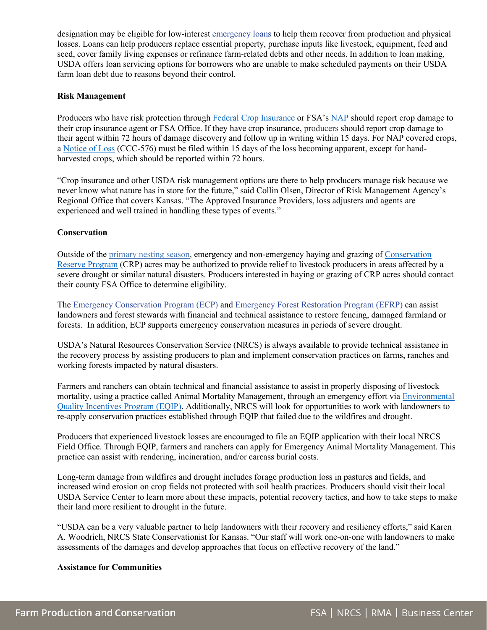designation may be eligible for low-interest [emergency loans](https://gcc02.safelinks.protection.outlook.com/?url=http%3A%2F%2Fwww.fsa.usda.gov%2Fprograms-and-services%2Ffarm-loan-programs%2Femergency-farm-loans%2Findex&data=04%7C01%7C%7C990d5b0d13ac4fe5be1f08d93bac402b%7Ced5b36e701ee4ebc867ee03cfa0d4697%7C0%7C0%7C637606433260092945%7CUnknown%7CTWFpbGZsb3d8eyJWIjoiMC4wLjAwMDAiLCJQIjoiV2luMzIiLCJBTiI6Ik1haWwiLCJXVCI6Mn0%3D%7C1000&sdata=16ocVF2Gih53VNOE%2FhRSIZu0FWlU5JZttN3iLhQUxgo%3D&reserved=0) to help them recover from production and physical losses. Loans can help producers replace essential property, purchase inputs like livestock, equipment, feed and seed, cover family living expenses or refinance farm-related debts and other needs. In addition to loan making, USDA offers loan servicing options for borrowers who are unable to make scheduled payments on their USDA farm loan debt due to reasons beyond their control.

### **Risk Management**

Producers who have risk protection through [Federal Crop Insurance](https://gcc02.safelinks.protection.outlook.com/?url=https%3A%2F%2Fwww.rma.usda.gov%2FFederal-Crop-Insurance-Corporation&data=04%7C01%7C%7C990d5b0d13ac4fe5be1f08d93bac402b%7Ced5b36e701ee4ebc867ee03cfa0d4697%7C0%7C0%7C637606433260092945%7CUnknown%7CTWFpbGZsb3d8eyJWIjoiMC4wLjAwMDAiLCJQIjoiV2luMzIiLCJBTiI6Ik1haWwiLCJXVCI6Mn0%3D%7C1000&sdata=PCdOVza%2Bi7ibrhkmRYp%2FTa2qK89Ad%2FnM4my5X8SybtY%3D&reserved=0) or FSA's [NAP](https://gcc02.safelinks.protection.outlook.com/?url=http%3A%2F%2Fwww.fsa.usda.gov%2Fprograms-and-services%2Fdisaster-assistance-program%2Fnoninsured-crop-disaster-assistance%2Findex&data=04%7C01%7C%7C990d5b0d13ac4fe5be1f08d93bac402b%7Ced5b36e701ee4ebc867ee03cfa0d4697%7C0%7C0%7C637606433260102902%7CUnknown%7CTWFpbGZsb3d8eyJWIjoiMC4wLjAwMDAiLCJQIjoiV2luMzIiLCJBTiI6Ik1haWwiLCJXVCI6Mn0%3D%7C1000&sdata=Tm4KNfjSU6g6sOZEY2ih96fbAExBARWlJ2NCboTlW5M%3D&reserved=0) should report crop damage to their crop insurance agent or FSA Office. If they have crop insurance, producers should report crop damage to their agent within 72 hours of damage discovery and follow up in writing within 15 days. For NAP covered crops, a [Notice of Loss](https://forms.sc.egov.usda.gov/efcommon/eFileServices/eForms/CCC576.PDF) (CCC-576) must be filed within 15 days of the loss becoming apparent, except for handharvested crops, which should be reported within 72 hours.

"Crop insurance and other USDA risk management options are there to help producers manage risk because we never know what nature has in store for the future," said Collin Olsen, Director of Risk Management Agency's Regional Office that covers Kansas. "The Approved Insurance Providers, loss adjusters and agents are experienced and well trained in handling these types of events."

#### **Conservation**

Outside of the [primary nesting season,](https://www.fsa.usda.gov/Assets/USDA-FSA-Public/usdafiles/Conservation/PDF/Primary%20Nesting%20Season_June_16_2020.pdf) emergency and non-emergency haying and grazing of [Conservation](https://www.fsa.usda.gov/programs-and-services/conservation-programs/conservation-reserve-program/emergency-haying-and-grazing/index)  [Reserve Program](https://www.fsa.usda.gov/programs-and-services/conservation-programs/conservation-reserve-program/emergency-haying-and-grazing/index) (CRP) acres may be authorized to provide relief to livestock producers in areas affected by a severe drought or similar natural disasters. Producers interested in haying or grazing of CRP acres should contact their county FSA Office to determine eligibility.

The [Emergency Conservation Program](https://gcc02.safelinks.protection.outlook.com/?url=http%3A%2F%2Fwww.fsa.usda.gov%2Fprograms-and-services%2Fconservation-programs%2Femergency-conservation%2Findex&data=04%7C01%7C%7C990d5b0d13ac4fe5be1f08d93bac402b%7Ced5b36e701ee4ebc867ee03cfa0d4697%7C0%7C0%7C637606433260102902%7CUnknown%7CTWFpbGZsb3d8eyJWIjoiMC4wLjAwMDAiLCJQIjoiV2luMzIiLCJBTiI6Ik1haWwiLCJXVCI6Mn0%3D%7C1000&sdata=qo%2BM3%2FBQuYkMJ756kTvLgBUXXMpkO2A7wv8Qe2dPQqw%3D&reserved=0) (ECP) and [Emergency Forest Restoration Program](https://gcc02.safelinks.protection.outlook.com/?url=https%3A%2F%2Fwww.fsa.usda.gov%2Fprograms-and-services%2Fdisaster-assistance-program%2Femergency-forest-restoration%2Findex&data=04%7C01%7C%7C990d5b0d13ac4fe5be1f08d93bac402b%7Ced5b36e701ee4ebc867ee03cfa0d4697%7C0%7C0%7C637606433260112859%7CUnknown%7CTWFpbGZsb3d8eyJWIjoiMC4wLjAwMDAiLCJQIjoiV2luMzIiLCJBTiI6Ik1haWwiLCJXVCI6Mn0%3D%7C1000&sdata=TTrJnk99P%2BiTuXFFRRJGPBNttrw8PpUgPFPJysqhPnI%3D&reserved=0) (EFRP) can assist landowners and forest stewards with financial and technical assistance to restore fencing, damaged farmland or forests. In addition, ECP supports emergency conservation measures in periods of severe drought.

USDA's Natural Resources Conservation Service (NRCS) is always available to provide technical assistance in the recovery process by assisting producers to plan and implement conservation practices on farms, ranches and working forests impacted by natural disasters.

Farmers and ranchers can obtain technical and financial assistance to assist in properly disposing of livestock mortality, using a practice called Animal Mortality Management, through an emergency effort via [Environmental](https://www.nrcs.usda.gov/wps/portal/nrcs/main/national/programs/financial/eqip/)  [Quality Incentives Program \(EQIP\).](https://www.nrcs.usda.gov/wps/portal/nrcs/main/national/programs/financial/eqip/) Additionally, NRCS will look for opportunities to work with landowners to re-apply conservation practices established through EQIP that failed due to the wildfires and drought.

Producers that experienced livestock losses are encouraged to file an EQIP application with their local NRCS Field Office. Through EQIP, farmers and ranchers can apply for Emergency Animal Mortality Management. This practice can assist with rendering, incineration, and/or carcass burial costs.

Long-term damage from wildfires and drought includes forage production loss in pastures and fields, and increased wind erosion on crop fields not protected with soil health practices. Producers should visit their local USDA Service Center to learn more about these impacts, potential recovery tactics, and how to take steps to make their land more resilient to drought in the future.

"USDA can be a very valuable partner to help landowners with their recovery and resiliency efforts," said Karen A. Woodrich, NRCS State Conservationist for Kansas. "Our staff will work one-on-one with landowners to make assessments of the damages and develop approaches that focus on effective recovery of the land."

#### **Assistance for Communities**